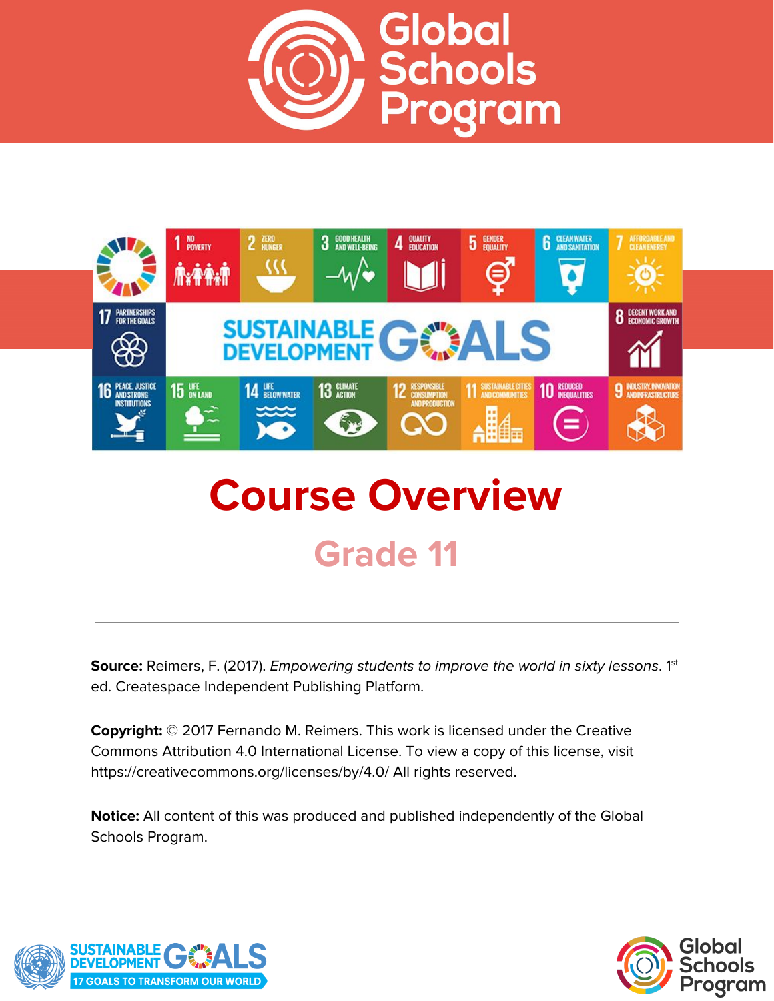



# **Course Overview Grade 11**

**Source:** Reimers, F. (2017). *Empowering students to improve the world in sixty lessons.* 1<sup>st</sup> ed. Createspace Independent Publishing Platform.

**Copyright:** © 2017 Fernando M. Reimers. This work is licensed under the Creative Commons Attribution 4.0 International License. To view a copy of this license, visit https://creativecommons.org/licenses/by/4.0/ All rights reserved.

**Notice:** All content of this was produced and published independently of the Global Schools Program.



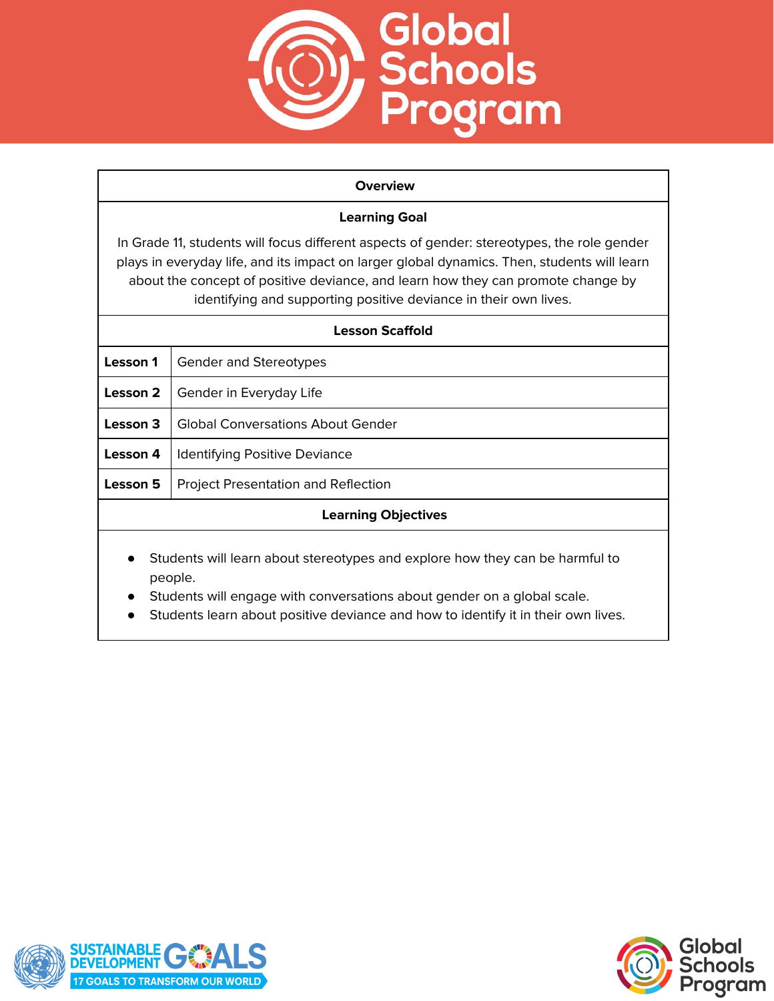

#### **Overview**

## **Learning Goal**

In Grade 11, students will focus different aspects of gender: stereotypes, the role gender plays in everyday life, and its impact on larger global dynamics. Then, students will learn about the concept of positive deviance, and learn how they can promote change by identifying and supporting positive deviance in their own lives.

| <b>Lesson Scaffold</b>                                                                                                                                                          |                                            |
|---------------------------------------------------------------------------------------------------------------------------------------------------------------------------------|--------------------------------------------|
| Lesson 1                                                                                                                                                                        | <b>Gender and Stereotypes</b>              |
| Lesson 2                                                                                                                                                                        | Gender in Everyday Life                    |
| Lesson 3                                                                                                                                                                        | Global Conversations About Gender          |
| Lesson 4                                                                                                                                                                        | <b>Identifying Positive Deviance</b>       |
| <b>Lesson 5</b>                                                                                                                                                                 | <b>Project Presentation and Reflection</b> |
| <b>Learning Objectives</b>                                                                                                                                                      |                                            |
| Students will learn about stereotypes and explore how they can be harmful to<br>$\bullet$<br>people.<br>Students will engage with conversations about gender on a global scale. |                                            |

● Students learn about positive deviance and how to identify it in their own lives.

![](_page_1_Picture_6.jpeg)

![](_page_1_Picture_7.jpeg)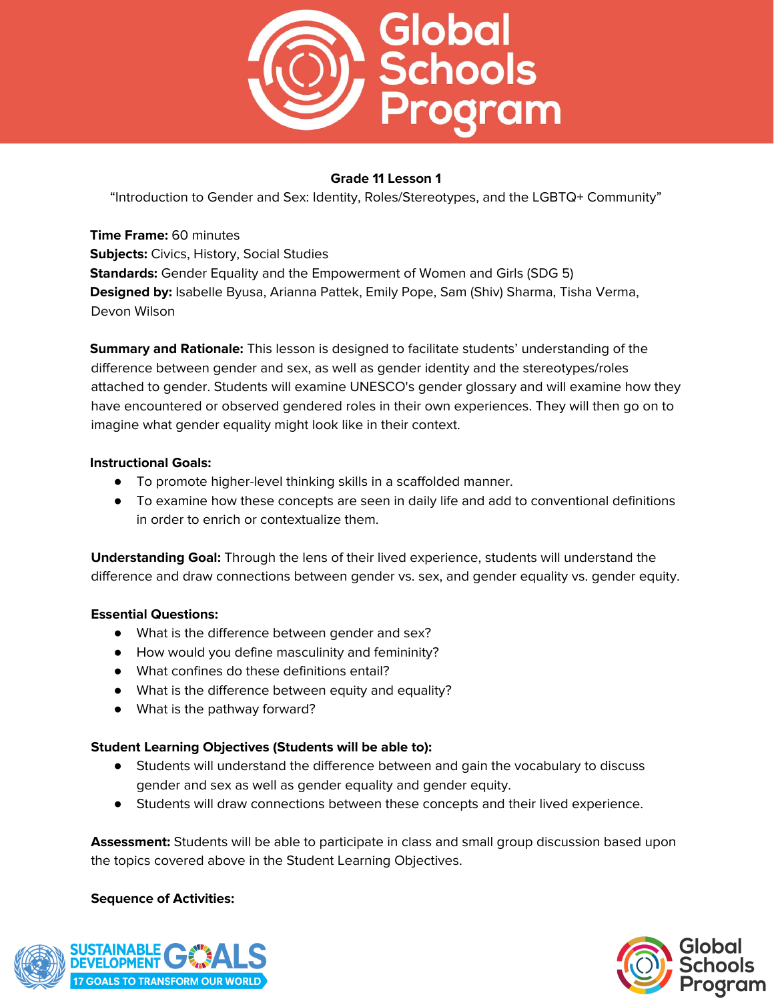![](_page_2_Picture_0.jpeg)

"Introduction to Gender and Sex: Identity, Roles/Stereotypes, and the LGBTQ+ Community"

**Time Frame:** 60 minutes **Subjects:** Civics, History, Social Studies **Standards:** Gender Equality and the Empowerment of Women and Girls (SDG 5) **Designed by:** Isabelle Byusa, Arianna Pattek, Emily Pope, Sam (Shiv) Sharma, Tisha Verma, Devon Wilson

**Summary and Rationale:** This lesson is designed to facilitate students' understanding of the difference between gender and sex, as well as gender identity and the stereotypes/roles attached to gender. Students will examine UNESCO's gender glossary and will examine how they have encountered or observed gendered roles in their own experiences. They will then go on to imagine what gender equality might look like in their context.

## **Instructional Goals:**

- To promote higher-level thinking skills in a scaffolded manner.
- To examine how these concepts are seen in daily life and add to conventional definitions in order to enrich or contextualize them.

**Understanding Goal:** Through the lens of their lived experience, students will understand the difference and draw connections between gender vs. sex, and gender equality vs. gender equity.

## **Essential Questions:**

- What is the difference between gender and sex?
- How would you define masculinity and femininity?
- What confines do these definitions entail?
- What is the difference between equity and equality?
- What is the pathway forward?

## **Student Learning Objectives (Students will be able to):**

- Students will understand the difference between and gain the vocabulary to discuss gender and sex as well as gender equality and gender equity.
- Students will draw connections between these concepts and their lived experience.

**Assessment:** Students will be able to participate in class and small group discussion based upon the topics covered above in the Student Learning Objectives.

![](_page_2_Picture_20.jpeg)

![](_page_2_Picture_21.jpeg)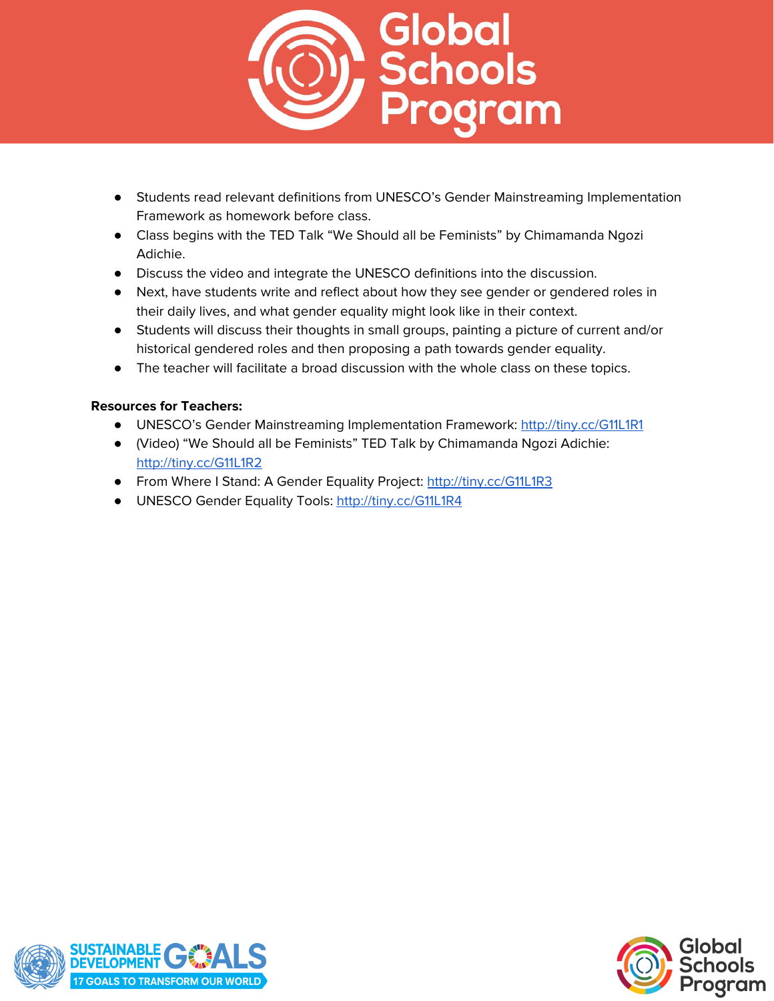![](_page_3_Picture_0.jpeg)

- Students read relevant definitions from UNESCO's Gender Mainstreaming Implementation Framework as homework before class.
- Class begins with the TED Talk "We Should all be Feminists" by Chimamanda Ngozi Adichie.
- Discuss the video and integrate the UNESCO definitions into the discussion.
- Next, have students write and reflect about how they see gender or gendered roles in their daily lives, and what gender equality might look like in their context.
- Students will discuss their thoughts in small groups, painting a picture of current and/or historical gendered roles and then proposing a path towards gender equality.
- The teacher will facilitate a broad discussion with the whole class on these topics.

## **Resources for Teachers:**

- **●** UNESCO's Gender Mainstreaming Implementation Framework: <http://tiny.cc/G11L1R1>
- **●** (Video) "We Should all be Feminists" TED Talk by Chimamanda Ngozi Adichie: <http://tiny.cc/G11L1R2>
- **•** From Where I Stand: A Gender Equality Project: <http://tiny.cc/G11L1R3>
- **●** UNESCO Gender Equality Tools: <http://tiny.cc/G11L1R4>

![](_page_3_Picture_12.jpeg)

![](_page_3_Picture_13.jpeg)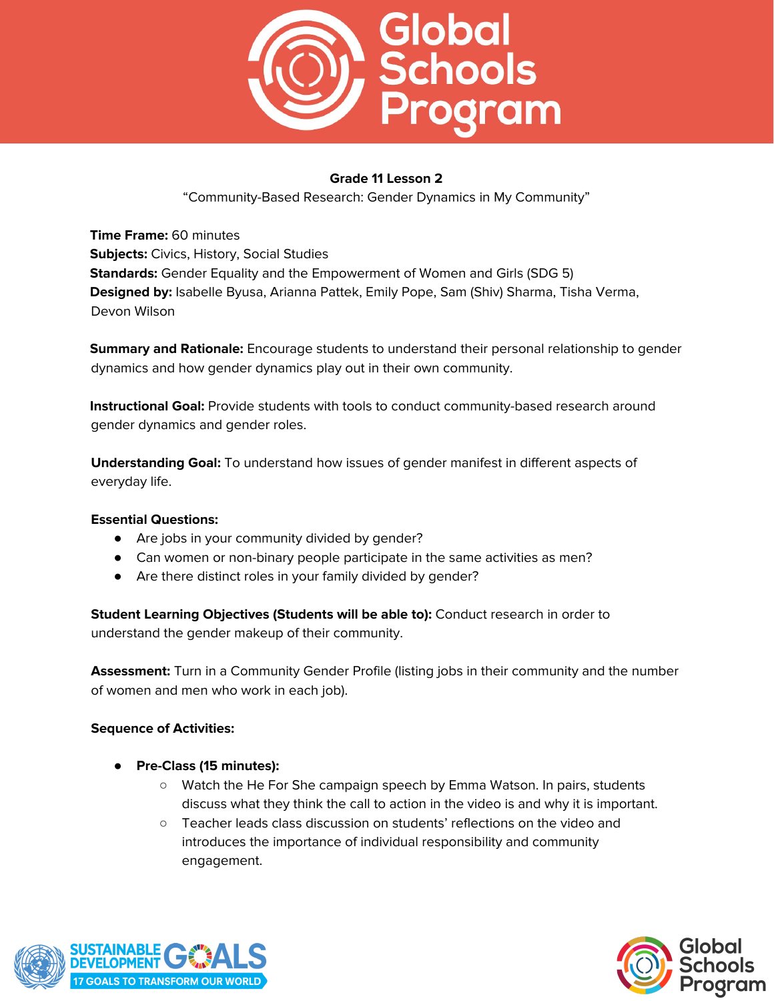![](_page_4_Picture_0.jpeg)

"Community-Based Research: Gender Dynamics in My Community"

**Time Frame:** 60 minutes **Subjects:** Civics, History, Social Studies **Standards:** Gender Equality and the Empowerment of Women and Girls (SDG 5) **Designed by:** Isabelle Byusa, Arianna Pattek, Emily Pope, Sam (Shiv) Sharma, Tisha Verma, Devon Wilson

**Summary and Rationale:** Encourage students to understand their personal relationship to gender dynamics and how gender dynamics play out in their own community.

**Instructional Goal:** Provide students with tools to conduct community-based research around gender dynamics and gender roles.

**Understanding Goal:** To understand how issues of gender manifest in different aspects of everyday life.

## **Essential Questions:**

- Are jobs in your community divided by gender?
- Can women or non-binary people participate in the same activities as men?
- Are there distinct roles in your family divided by gender?

**Student Learning Objectives (Students will be able to):** Conduct research in order to understand the gender makeup of their community.

**Assessment:** Turn in a Community Gender Profile (listing jobs in their community and the number of women and men who work in each job).

- **Pre-Class (15 minutes):**
	- Watch the He For She campaign speech by Emma Watson. In pairs, students discuss what they think the call to action in the video is and why it is important.
	- Teacher leads class discussion on students' reflections on the video and introduces the importance of individual responsibility and community engagement.

![](_page_4_Picture_17.jpeg)

![](_page_4_Picture_18.jpeg)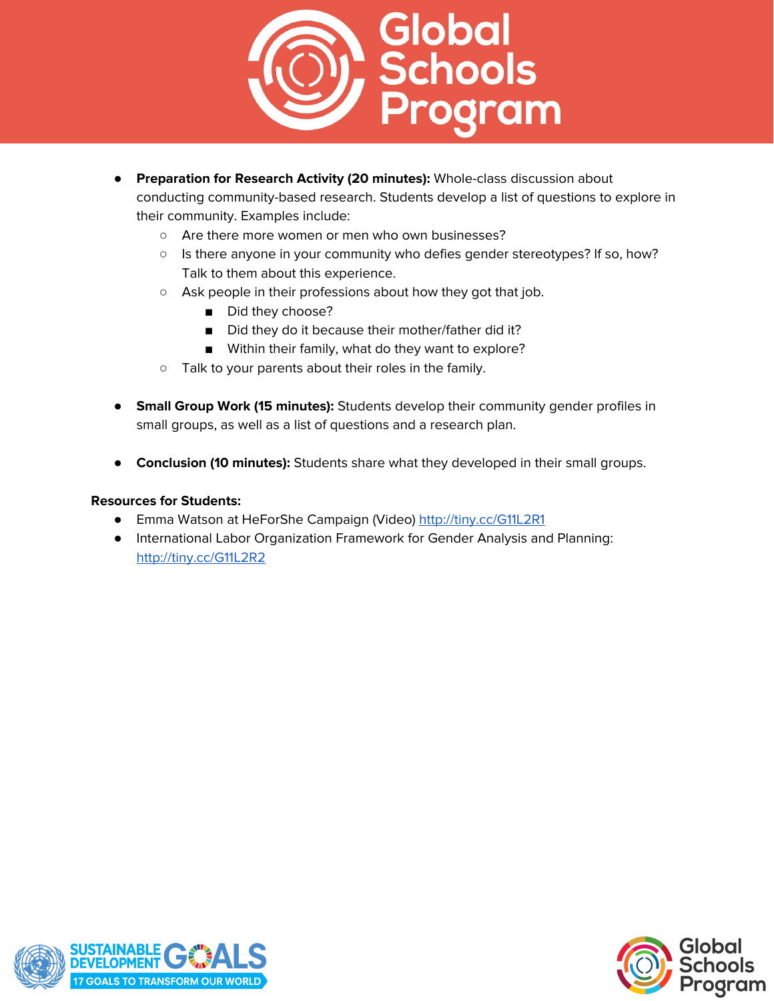![](_page_5_Picture_0.jpeg)

- **Preparation for Research Activity (20 minutes):** Whole-class discussion about conducting community-based research. Students develop a list of questions to explore in their community. Examples include:
	- Are there more women or men who own businesses?
	- Is there anyone in your community who defies gender stereotypes? If so, how? Talk to them about this experience.
	- Ask people in their professions about how they got that job.
		- Did they choose?
		- Did they do it because their mother/father did it?
		- Within their family, what do they want to explore?
	- Talk to your parents about their roles in the family.
- **Small Group Work (15 minutes):** Students develop their community gender profiles in small groups, as well as a list of questions and a research plan.
- **Conclusion (10 minutes):** Students share what they developed in their small groups.

#### **Resources for Students:**

- Emma Watson at HeForShe Campaign (Video) <http://tiny.cc/G11L2R1>
- International Labor Organization Framework for Gender Analysis and Planning: <http://tiny.cc/G11L2R2>

![](_page_5_Picture_14.jpeg)

![](_page_5_Picture_15.jpeg)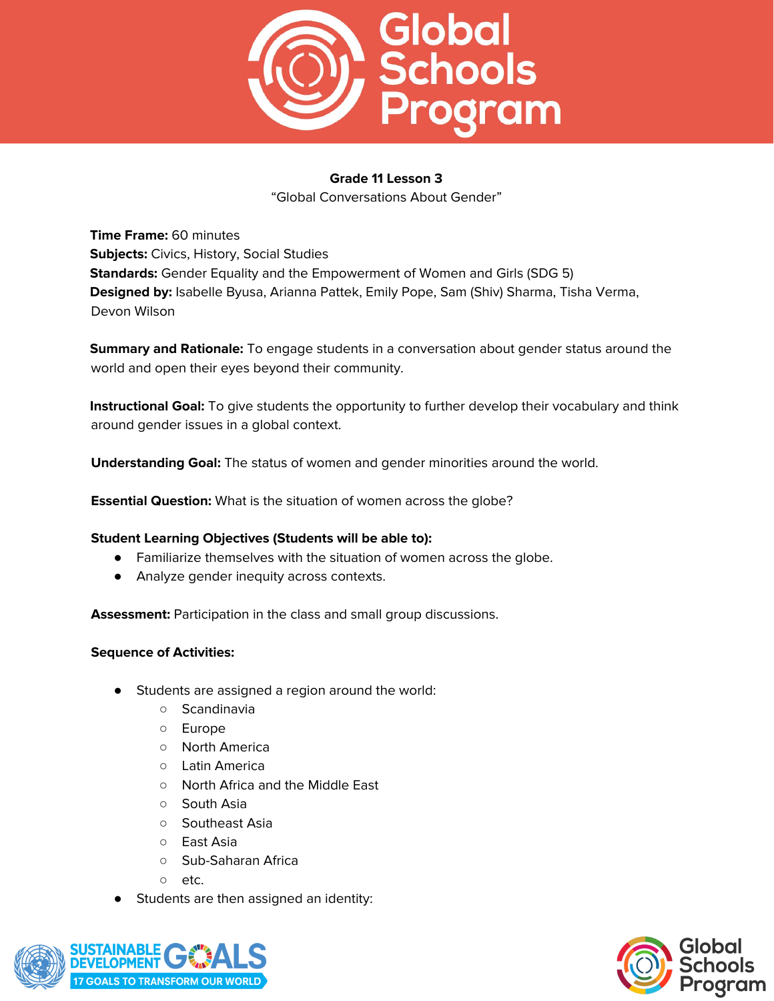![](_page_6_Picture_0.jpeg)

"Global Conversations About Gender"

**Time Frame:** 60 minutes **Subjects:** Civics, History, Social Studies **Standards:** Gender Equality and the Empowerment of Women and Girls (SDG 5) **Designed by:** Isabelle Byusa, Arianna Pattek, Emily Pope, Sam (Shiv) Sharma, Tisha Verma, Devon Wilson

**Summary and Rationale:** To engage students in a conversation about gender status around the world and open their eyes beyond their community.

**Instructional Goal:** To give students the opportunity to further develop their vocabulary and think around gender issues in a global context.

**Understanding Goal:** The status of women and gender minorities around the world.

**Essential Question:** What is the situation of women across the globe?

## **Student Learning Objectives (Students will be able to):**

- Familiarize themselves with the situation of women across the globe.
- Analyze gender inequity across contexts.

**Assessment:** Participation in the class and small group discussions.

- Students are assigned a region around the world:
	- Scandinavia
	- Europe
	- North America
	- Latin America
	- North Africa and the Middle East
	- South Asia
	- Southeast Asia
	- East Asia
	- Sub-Saharan Africa
	- etc.
- Students are then assigned an identity:

![](_page_6_Picture_25.jpeg)

![](_page_6_Picture_26.jpeg)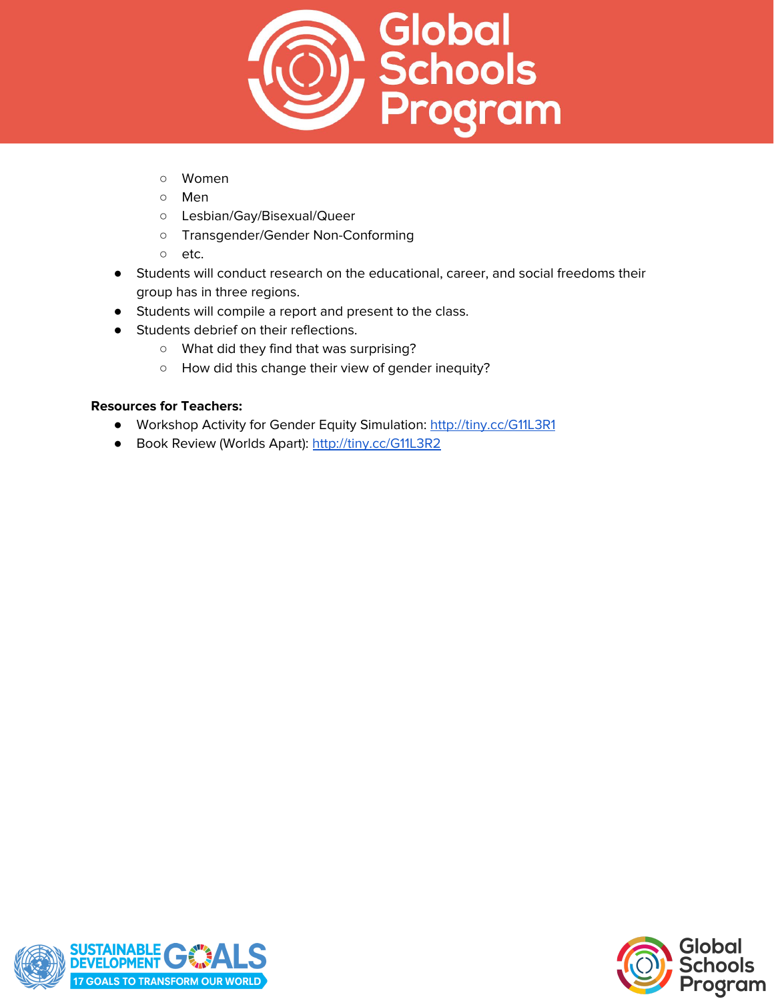![](_page_7_Picture_0.jpeg)

- Women
- Men
- Lesbian/Gay/Bisexual/Queer
- Transgender/Gender Non-Conforming
- etc.
- Students will conduct research on the educational, career, and social freedoms their group has in three regions.
- Students will compile a report and present to the class.
- Students debrief on their reflections.
	- What did they find that was surprising?
	- How did this change their view of gender inequity?

## **Resources for Teachers:**

- Workshop Activity for Gender Equity Simulation: <http://tiny.cc/G11L3R1>
- Book Review (Worlds Apart): <http://tiny.cc/G11L3R2>

![](_page_7_Picture_14.jpeg)

![](_page_7_Picture_15.jpeg)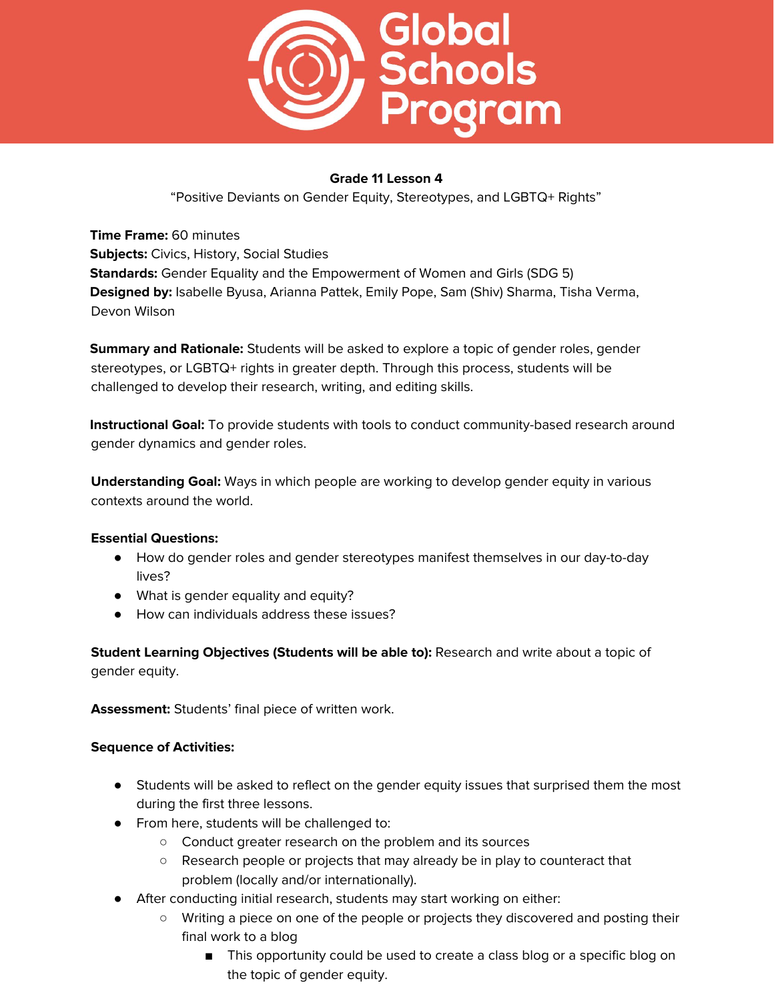![](_page_8_Picture_0.jpeg)

"Positive Deviants on Gender Equity, Stereotypes, and LGBTQ+ Rights"

**Time Frame:** 60 minutes **Subjects:** Civics, History, Social Studies **Standards:** Gender Equality and the Empowerment of Women and Girls (SDG 5) **Designed by:** Isabelle Byusa, Arianna Pattek, Emily Pope, Sam (Shiv) Sharma, Tisha Verma, Devon Wilson

**Summary and Rationale:** Students will be asked to explore a topic of gender roles, gender stereotypes, or LGBTQ+ rights in greater depth. Through this process, students will be challenged to develop their research, writing, and editing skills.

**Instructional Goal:** To provide students with tools to conduct community-based research around gender dynamics and gender roles.

**Understanding Goal:** Ways in which people are working to develop gender equity in various contexts around the world.

## **Essential Questions:**

- How do gender roles and gender stereotypes manifest themselves in our day-to-day lives?
- What is gender equality and equity?
- How can individuals address these issues?

**Student Learning Objectives (Students will be able to):** Research and write about a topic of gender equity.

**Assessment:** Students' final piece of written work.

- Students will be asked to reflect on the gender equity issues that surprised them the most during the first three lessons.
- From here, students will be challenged to:
	- Conduct greater research on the problem and its sources
	- Research people or projects that may already be in play to counteract that problem (locally and/or internationally).
- After conducting initial research, students may start working on either:
	- Writing a piece on one of the people or projects they discovered and posting their final work to a blog
		- This opportunity could be used to create a class blog or a specific blog on the topic of gender equity.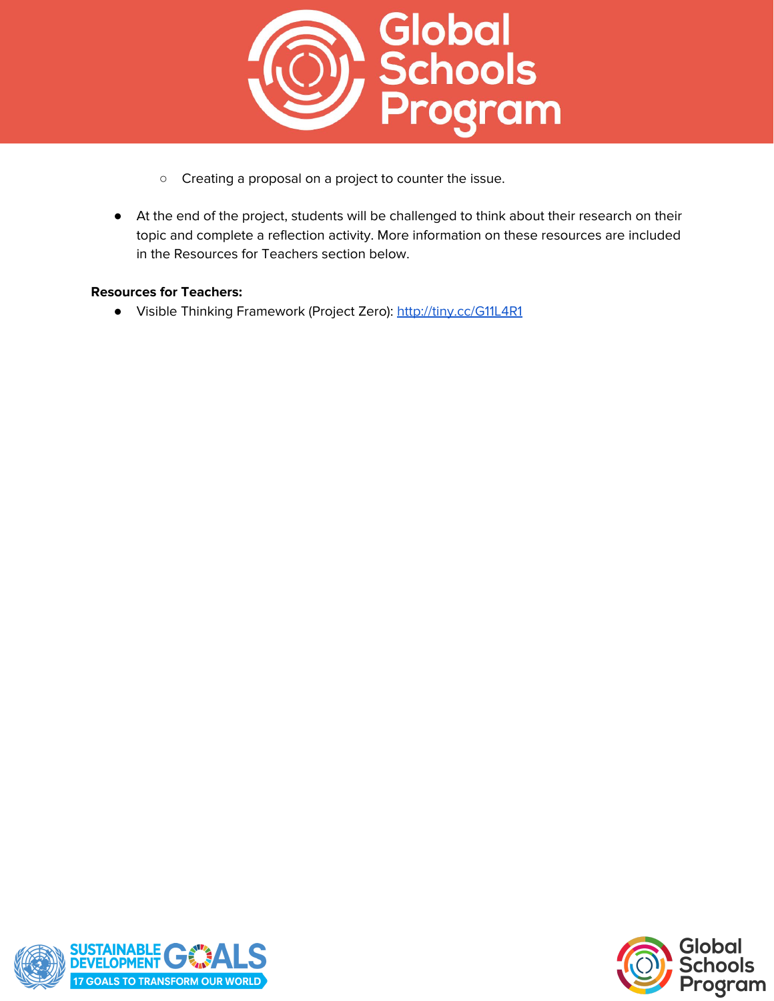![](_page_9_Picture_0.jpeg)

- Creating a proposal on a project to counter the issue.
- At the end of the project, students will be challenged to think about their research on their topic and complete a reflection activity. More information on these resources are included in the Resources for Teachers section below.

## **Resources for Teachers:**

● Visible Thinking Framework (Project Zero): <http://tiny.cc/G11L4R1>

![](_page_9_Picture_5.jpeg)

![](_page_9_Picture_6.jpeg)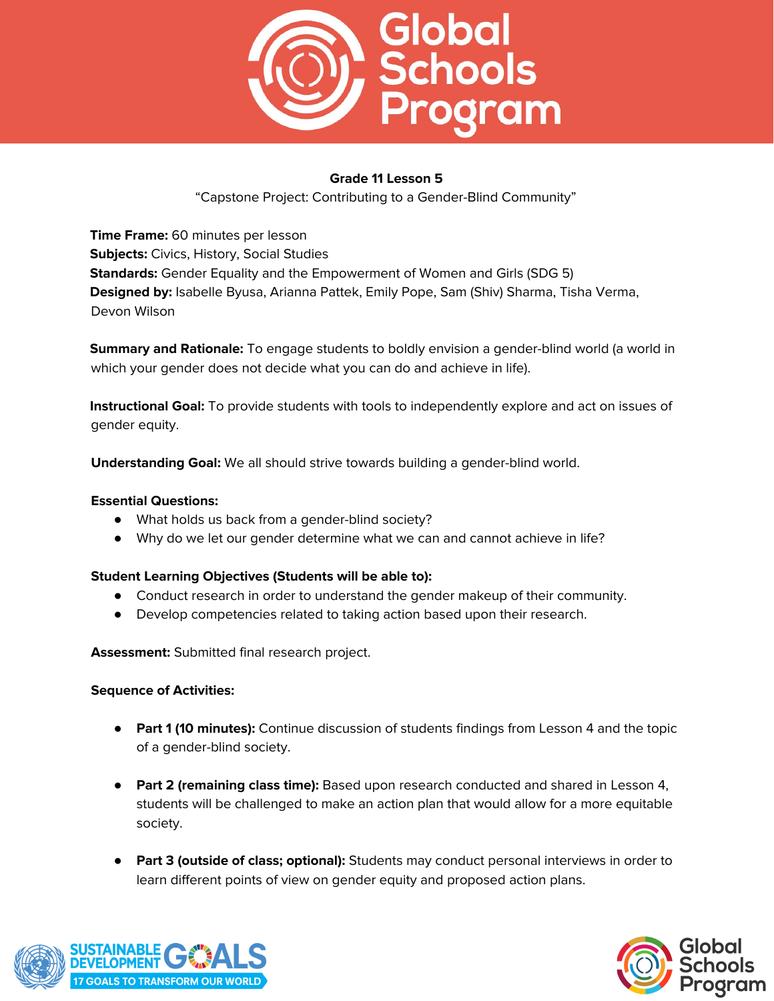![](_page_10_Picture_0.jpeg)

"Capstone Project: Contributing to a Gender-Blind Community"

**Time Frame:** 60 minutes per lesson **Subjects:** Civics, History, Social Studies **Standards:** Gender Equality and the Empowerment of Women and Girls (SDG 5) **Designed by:** Isabelle Byusa, Arianna Pattek, Emily Pope, Sam (Shiv) Sharma, Tisha Verma, Devon Wilson

**Summary and Rationale:** To engage students to boldly envision a gender-blind world (a world in which your gender does not decide what you can do and achieve in life).

**Instructional Goal:** To provide students with tools to independently explore and act on issues of gender equity.

**Understanding Goal:** We all should strive towards building a gender-blind world.

## **Essential Questions:**

- What holds us back from a gender-blind society?
- Why do we let our gender determine what we can and cannot achieve in life?

## **Student Learning Objectives (Students will be able to):**

- Conduct research in order to understand the gender makeup of their community.
- Develop competencies related to taking action based upon their research.

**Assessment:** Submitted final research project.

- **Part 1 (10 minutes):** Continue discussion of students findings from Lesson 4 and the topic of a gender-blind society.
- **Part 2 (remaining class time):** Based upon research conducted and shared in Lesson 4, students will be challenged to make an action plan that would allow for a more equitable society.
- **Part 3 (outside of class; optional):** Students may conduct personal interviews in order to learn different points of view on gender equity and proposed action plans.

![](_page_10_Picture_18.jpeg)

![](_page_10_Picture_19.jpeg)